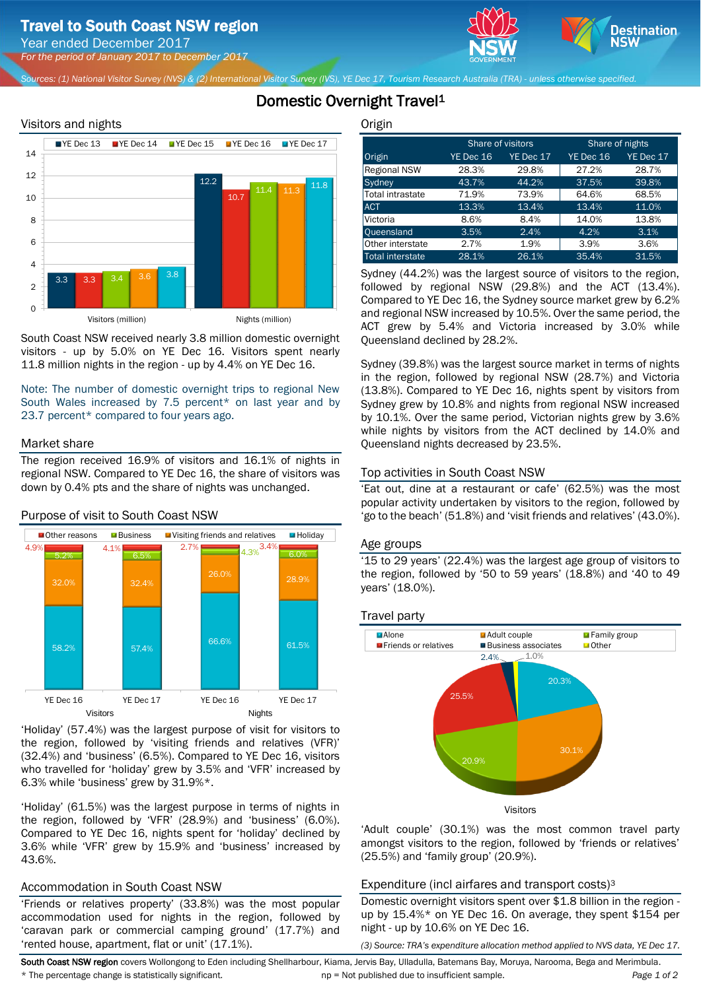*For the period of January 2017 to December 2017*

*Sources: (1) National Visitor Survey (NVS) & (2) International Visitor Survey (IVS), YE Dec 17, Tourism Research Australia (TRA) - unless otherwise specified.*

## Domestic Overnight Travel<sup>1</sup>





South Coast NSW received nearly 3.8 million domestic overnight visitors - up by 5.0% on YE Dec 16. Visitors spent nearly 11.8 million nights in the region - up by 4.4% on YE Dec 16.

Note: The number of domestic overnight trips to regional New South Wales increased by 7.5 percent\* on last year and by 23.7 percent\* compared to four years ago.

## Market share

The region received 16.9% of visitors and 16.1% of nights in regional NSW. Compared to YE Dec 16, the share of visitors was down by 0.4% pts and the share of nights was unchanged.



'Holiday' (57.4%) was the largest purpose of visit for visitors to the region, followed by 'visiting friends and relatives (VFR)' (32.4%) and 'business' (6.5%). Compared to YE Dec 16, visitors who travelled for 'holiday' grew by 3.5% and 'VFR' increased by 6.3% while 'business' grew by 31.9%\*.

'Holiday' (61.5%) was the largest purpose in terms of nights in the region, followed by 'VFR' (28.9%) and 'business' (6.0%). Compared to YE Dec 16, nights spent for 'holiday' declined by 3.6% while 'VFR' grew by 15.9% and 'business' increased by 43.6%.

## Accommodation in South Coast NSW

'Friends or relatives property' (33.8%) was the most popular accommodation used for nights in the region, followed by 'caravan park or commercial camping ground' (17.7%) and 'rented house, apartment, flat or unit' (17.1%).

**Origin** 

|                     |           | Share of visitors | Share of nights |           |  |
|---------------------|-----------|-------------------|-----------------|-----------|--|
| Origin              | YE Dec 16 | YE Dec 17         | YE Dec 16       | YE Dec 17 |  |
| <b>Regional NSW</b> | 28.3%     | 29.8%             | 27.2%           | 28.7%     |  |
| Sydney              | 43.7%     | 44.2%             | 37.5%           | 39.8%     |  |
| Total intrastate    | 71.9%     | 73.9%             | 64.6%           | 68.5%     |  |
| <b>ACT</b>          | 13.3%     | 13.4%             | 13.4%           | 11.0%     |  |
| Victoria            | 8.6%      | 8.4%              | 14.0%           | 13.8%     |  |
| Queensland          | 3.5%      | 2.4%              | 4.2%            | 3.1%      |  |
| Other interstate    | 2.7%      | 1.9%              | 3.9%            | 3.6%      |  |
| Total interstate    | 28.1%     | 26.1%             | 35.4%           | 31.5%     |  |

**Destination** 

Sydney (44.2%) was the largest source of visitors to the region, followed by regional NSW (29.8%) and the ACT (13.4%). Compared to YE Dec 16, the Sydney source market grew by 6.2% and regional NSW increased by 10.5%. Over the same period, the ACT grew by 5.4% and Victoria increased by 3.0% while Queensland declined by 28.2%.

Sydney (39.8%) was the largest source market in terms of nights in the region, followed by regional NSW (28.7%) and Victoria (13.8%). Compared to YE Dec 16, nights spent by visitors from Sydney grew by 10.8% and nights from regional NSW increased by 10.1%. Over the same period, Victorian nights grew by 3.6% while nights by visitors from the ACT declined by 14.0% and Queensland nights decreased by 23.5%.

## Top activities in South Coast NSW

'Eat out, dine at a restaurant or cafe' (62.5%) was the most popular activity undertaken by visitors to the region, followed by 'go to the beach' (51.8%) and 'visit friends and relatives' (43.0%).

## Age groups

'15 to 29 years' (22.4%) was the largest age group of visitors to the region, followed by '50 to 59 years' (18.8%) and '40 to 49 years' (18.0%).

Travel party



'Adult couple' (30.1%) was the most common travel party amongst visitors to the region, followed by 'friends or relatives' (25.5%) and 'family group' (20.9%).

## Expenditure (incl airfares and transport costs)<sup>3</sup>

Domestic overnight visitors spent over \$1.8 billion in the region up by 15.4%\* on YE Dec 16. On average, they spent \$154 per night - up by 10.6% on YE Dec 16.

*(3) Source: TRA's expenditure allocation method applied to NVS data, YE Dec 17.*

South Coast NSW region covers Wollongong to Eden including Shellharbour, Kiama, Jervis Bay, Ulladulla, Batemans Bay, Moruya, Narooma, Bega and Merimbula. \* The percentage change is statistically significant. np = Not published due to insufficient sample. *Page 1 of 2*